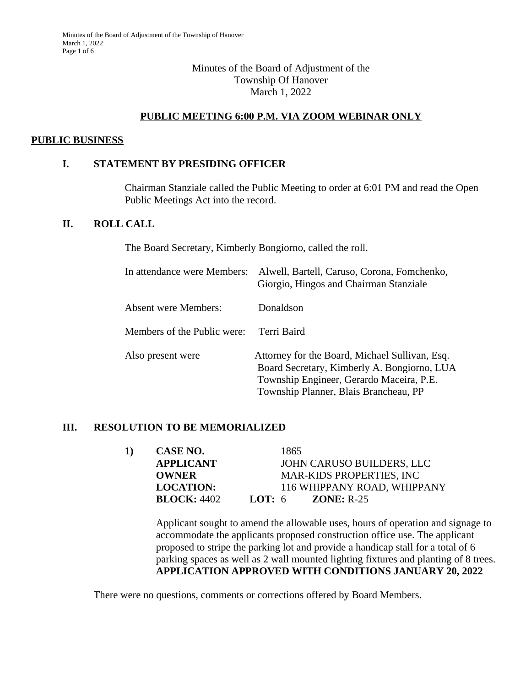### Minutes of the Board of Adjustment of the Township Of Hanover March 1, 2022

### **PUBLIC MEETING 6:00 P.M. VIA ZOOM WEBINAR ONLY**

#### **PUBLIC BUSINESS**

### **I. STATEMENT BY PRESIDING OFFICER**

Chairman Stanziale called the Public Meeting to order at 6:01 PM and read the Open Public Meetings Act into the record.

## **II. ROLL CALL**

The Board Secretary, Kimberly Bongiorno, called the roll.

| In attendance were Members: | Alwell, Bartell, Caruso, Corona, Fomchenko,<br>Giorgio, Hingos and Chairman Stanziale                                                                                              |
|-----------------------------|------------------------------------------------------------------------------------------------------------------------------------------------------------------------------------|
| Absent were Members:        | Donaldson                                                                                                                                                                          |
| Members of the Public were: | Terri Baird                                                                                                                                                                        |
| Also present were           | Attorney for the Board, Michael Sullivan, Esq.<br>Board Secretary, Kimberly A. Bongiorno, LUA<br>Township Engineer, Gerardo Maceira, P.E.<br>Township Planner, Blais Brancheau, PP |

### **III. RESOLUTION TO BE MEMORIALIZED**

| 1) | CASE NO.           | 1865                             |
|----|--------------------|----------------------------------|
|    | <b>APPLICANT</b>   | JOHN CARUSO BUILDERS, LLC        |
|    | <b>OWNER</b>       | <b>MAR-KIDS PROPERTIES, INC.</b> |
|    | <b>LOCATION:</b>   | 116 WHIPPANY ROAD, WHIPPANY      |
|    | <b>BLOCK: 4402</b> | LOT: $6$<br>$ZONE: R-25$         |

Applicant sought to amend the allowable uses, hours of operation and signage to accommodate the applicants proposed construction office use. The applicant proposed to stripe the parking lot and provide a handicap stall for a total of 6 parking spaces as well as 2 wall mounted lighting fixtures and planting of 8 trees. **APPLICATION APPROVED WITH CONDITIONS JANUARY 20, 2022**

There were no questions, comments or corrections offered by Board Members.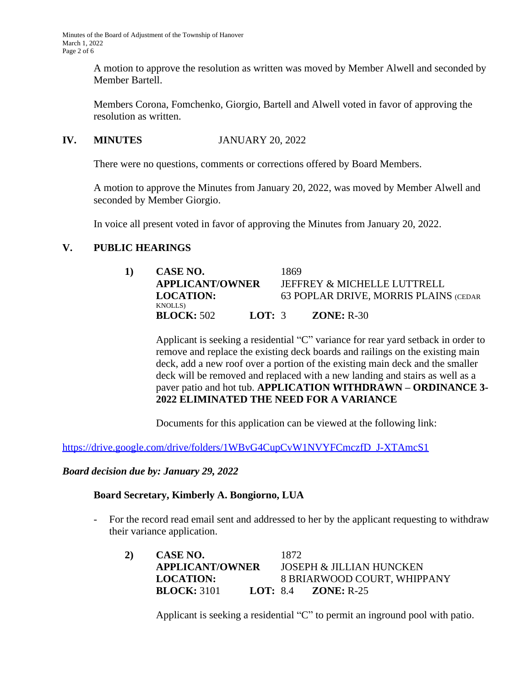A motion to approve the resolution as written was moved by Member Alwell and seconded by Member Bartell.

Members Corona, Fomchenko, Giorgio, Bartell and Alwell voted in favor of approving the resolution as written.

### **IV. MINUTES** JANUARY 20, 2022

There were no questions, comments or corrections offered by Board Members.

A motion to approve the Minutes from January 20, 2022, was moved by Member Alwell and seconded by Member Giorgio.

In voice all present voted in favor of approving the Minutes from January 20, 2022.

### **V. PUBLIC HEARINGS**

| CASE NO.                             |          | 1869 |                                       |
|--------------------------------------|----------|------|---------------------------------------|
| <b>APPLICANT/OWNER</b>               |          |      | JEFFREY & MICHELLE LUTTRELL           |
| <b>LOCATION:</b>                     |          |      | 63 POPLAR DRIVE, MORRIS PLAINS (CEDAR |
| <b>KNOLLS</b> )<br><b>BLOCK:</b> 502 | LOT: $3$ |      | $ZONE: R-30$                          |

Applicant is seeking a residential "C" variance for rear yard setback in order to remove and replace the existing deck boards and railings on the existing main deck, add a new roof over a portion of the existing main deck and the smaller deck will be removed and replaced with a new landing and stairs as well as a paver patio and hot tub. **APPLICATION WITHDRAWN – ORDINANCE 3- 2022 ELIMINATED THE NEED FOR A VARIANCE**

Documents for this application can be viewed at the following link:

[https://drive.google.com/drive/folders/1WBvG4CupCvW1NVYFCmczfD\\_J-XTAmcS1](https://drive.google.com/drive/folders/1WBvG4CupCvW1NVYFCmczfD_J-XTAmcS1)

*[Board decision due by: January 29, 2022](https://drive.google.com/drive/folders/1WBvG4CupCvW1NVYFCmczfD_J-XTAmcS1)*

### **[Board Secretary, Kimberly A. Bongiorno, LUA](https://drive.google.com/drive/folders/1WBvG4CupCvW1NVYFCmczfD_J-XTAmcS1)**

- [For the record read email sent and addressed to her by the applicant requesting to withdraw](https://drive.google.com/drive/folders/1WBvG4CupCvW1NVYFCmczfD_J-XTAmcS1)  [their variance application.](https://drive.google.com/drive/folders/1WBvG4CupCvW1NVYFCmczfD_J-XTAmcS1)
	- **[2\)](https://drive.google.com/drive/folders/1WBvG4CupCvW1NVYFCmczfD_J-XTAmcS1) [CASE NO.](https://drive.google.com/drive/folders/1WBvG4CupCvW1NVYFCmczfD_J-XTAmcS1)** [1872](https://drive.google.com/drive/folders/1WBvG4CupCvW1NVYFCmczfD_J-XTAmcS1) **[APPLICANT/OWNER](https://drive.google.com/drive/folders/1WBvG4CupCvW1NVYFCmczfD_J-XTAmcS1)** [JOSEPH & JILLIAN HUNCKEN](https://drive.google.com/drive/folders/1WBvG4CupCvW1NVYFCmczfD_J-XTAmcS1) **[LOCATION:](https://drive.google.com/drive/folders/1WBvG4CupCvW1NVYFCmczfD_J-XTAmcS1)** [8 BRIARWOOD COURT, WHIPPANY](https://drive.google.com/drive/folders/1WBvG4CupCvW1NVYFCmczfD_J-XTAmcS1) **[BLOCK:](https://drive.google.com/drive/folders/1WBvG4CupCvW1NVYFCmczfD_J-XTAmcS1)** [3101](https://drive.google.com/drive/folders/1WBvG4CupCvW1NVYFCmczfD_J-XTAmcS1) **[LOT:](https://drive.google.com/drive/folders/1WBvG4CupCvW1NVYFCmczfD_J-XTAmcS1)** [8.4](https://drive.google.com/drive/folders/1WBvG4CupCvW1NVYFCmczfD_J-XTAmcS1) **[ZONE:](https://drive.google.com/drive/folders/1WBvG4CupCvW1NVYFCmczfD_J-XTAmcS1)** [R-25](https://drive.google.com/drive/folders/1WBvG4CupCvW1NVYFCmczfD_J-XTAmcS1)

[Applicant is seeking](https://drive.google.com/drive/folders/1WBvG4CupCvW1NVYFCmczfD_J-XTAmcS1) [a residential](https://drive.google.com/drive/folders/1WBvG4CupCvW1NVYFCmczfD_J-XTAmcS1) ["](https://drive.google.com/drive/folders/1WBvG4CupCvW1NVYFCmczfD_J-XTAmcS1)[C](https://drive.google.com/drive/folders/1WBvG4CupCvW1NVYFCmczfD_J-XTAmcS1)["](https://drive.google.com/drive/folders/1WBvG4CupCvW1NVYFCmczfD_J-XTAmcS1) [to permit an inground pool with patio](https://drive.google.com/drive/folders/1WBvG4CupCvW1NVYFCmczfD_J-XTAmcS1)[.](https://drive.google.com/drive/folders/1WBvG4CupCvW1NVYFCmczfD_J-XTAmcS1)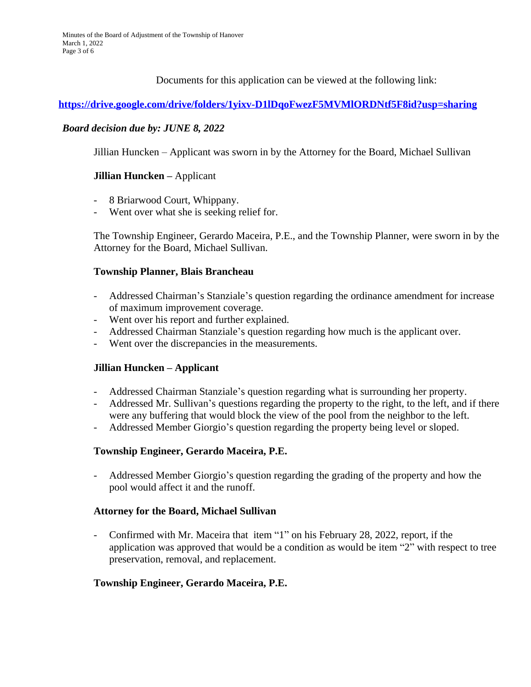Documents for this application can be viewed at the following link:

### **<https://drive.google.com/drive/folders/1yixv-D1lDqoFwezF5MVMlORDNtf5F8id?usp=sharing>**

### *[Board decision due by: JUNE 8, 2022](https://drive.google.com/drive/folders/1yixv-D1lDqoFwezF5MVMlORDNtf5F8id?usp=sharing)*

[Jillian Huncken](https://drive.google.com/drive/folders/1yixv-D1lDqoFwezF5MVMlORDNtf5F8id?usp=sharing) [–](https://drive.google.com/drive/folders/1yixv-D1lDqoFwezF5MVMlORDNtf5F8id?usp=sharing) [Applicant was sworn in by the Attorney for the Board, Michael Sullivan](https://drive.google.com/drive/folders/1yixv-D1lDqoFwezF5MVMlORDNtf5F8id?usp=sharing)

### **[Jillian Huncken](https://drive.google.com/drive/folders/1yixv-D1lDqoFwezF5MVMlORDNtf5F8id?usp=sharing) [–](https://drive.google.com/drive/folders/1yixv-D1lDqoFwezF5MVMlORDNtf5F8id?usp=sharing)** [Applicant](https://drive.google.com/drive/folders/1yixv-D1lDqoFwezF5MVMlORDNtf5F8id?usp=sharing)

- [8 Briarwood Court, Whippany.](https://drive.google.com/drive/folders/1yixv-D1lDqoFwezF5MVMlORDNtf5F8id?usp=sharing)
- [Went over what she is seeking relief for.](https://drive.google.com/drive/folders/1yixv-D1lDqoFwezF5MVMlORDNtf5F8id?usp=sharing)

[The Township Engineer, Gerardo Maceira, P.E., and the Township Planner, were sworn in by the](https://drive.google.com/drive/folders/1yixv-D1lDqoFwezF5MVMlORDNtf5F8id?usp=sharing) [Attorney for the Board, Michael Sullivan.](https://drive.google.com/drive/folders/1yixv-D1lDqoFwezF5MVMlORDNtf5F8id?usp=sharing)

### **[Township Planner, Blais Brancheau](https://drive.google.com/drive/folders/1yixv-D1lDqoFwezF5MVMlORDNtf5F8id?usp=sharing)**

- [Addressed Chairman](https://drive.google.com/drive/folders/1yixv-D1lDqoFwezF5MVMlORDNtf5F8id?usp=sharing)['](https://drive.google.com/drive/folders/1yixv-D1lDqoFwezF5MVMlORDNtf5F8id?usp=sharing)[s Stanziale](https://drive.google.com/drive/folders/1yixv-D1lDqoFwezF5MVMlORDNtf5F8id?usp=sharing)['](https://drive.google.com/drive/folders/1yixv-D1lDqoFwezF5MVMlORDNtf5F8id?usp=sharing)[s question regarding the ordinance amendment](https://drive.google.com/drive/folders/1yixv-D1lDqoFwezF5MVMlORDNtf5F8id?usp=sharing) [for increase](https://drive.google.com/drive/folders/1yixv-D1lDqoFwezF5MVMlORDNtf5F8id?usp=sharing) [of maximum improvement](https://drive.google.com/drive/folders/1yixv-D1lDqoFwezF5MVMlORDNtf5F8id?usp=sharing) [coverage.](https://drive.google.com/drive/folders/1yixv-D1lDqoFwezF5MVMlORDNtf5F8id?usp=sharing)
- [Went over his report and further explained.](https://drive.google.com/drive/folders/1yixv-D1lDqoFwezF5MVMlORDNtf5F8id?usp=sharing)
- [Addressed Chairman Stanziale](https://drive.google.com/drive/folders/1yixv-D1lDqoFwezF5MVMlORDNtf5F8id?usp=sharing)['](https://drive.google.com/drive/folders/1yixv-D1lDqoFwezF5MVMlORDNtf5F8id?usp=sharing)[s question regarding how much is the applicant over.](https://drive.google.com/drive/folders/1yixv-D1lDqoFwezF5MVMlORDNtf5F8id?usp=sharing)
- [Went](https://drive.google.com/drive/folders/1yixv-D1lDqoFwezF5MVMlORDNtf5F8id?usp=sharing) [over the discrepancies in the measurements.](https://drive.google.com/drive/folders/1yixv-D1lDqoFwezF5MVMlORDNtf5F8id?usp=sharing)

### **[Jillian Huncken](https://drive.google.com/drive/folders/1yixv-D1lDqoFwezF5MVMlORDNtf5F8id?usp=sharing) [–](https://drive.google.com/drive/folders/1yixv-D1lDqoFwezF5MVMlORDNtf5F8id?usp=sharing) [Applicant](https://drive.google.com/drive/folders/1yixv-D1lDqoFwezF5MVMlORDNtf5F8id?usp=sharing)**

- [Addressed Chairman Stanziale](https://drive.google.com/drive/folders/1yixv-D1lDqoFwezF5MVMlORDNtf5F8id?usp=sharing)['](https://drive.google.com/drive/folders/1yixv-D1lDqoFwezF5MVMlORDNtf5F8id?usp=sharing)[s question regarding what is surrounding](https://drive.google.com/drive/folders/1yixv-D1lDqoFwezF5MVMlORDNtf5F8id?usp=sharing) [her property.](https://drive.google.com/drive/folders/1yixv-D1lDqoFwezF5MVMlORDNtf5F8id?usp=sharing)
- [Addressed Mr. Sullivan](https://drive.google.com/drive/folders/1yixv-D1lDqoFwezF5MVMlORDNtf5F8id?usp=sharing)['](https://drive.google.com/drive/folders/1yixv-D1lDqoFwezF5MVMlORDNtf5F8id?usp=sharing)[s questions regarding](https://drive.google.com/drive/folders/1yixv-D1lDqoFwezF5MVMlORDNtf5F8id?usp=sharing) [the property to the](https://drive.google.com/drive/folders/1yixv-D1lDqoFwezF5MVMlORDNtf5F8id?usp=sharing) [right, to the left, and if there](https://drive.google.com/drive/folders/1yixv-D1lDqoFwezF5MVMlORDNtf5F8id?usp=sharing) [were any](https://drive.google.com/drive/folders/1yixv-D1lDqoFwezF5MVMlORDNtf5F8id?usp=sharing) [buffering](https://drive.google.com/drive/folders/1yixv-D1lDqoFwezF5MVMlORDNtf5F8id?usp=sharing) [that would block the view of the pool from the neighbor to the left.](https://drive.google.com/drive/folders/1yixv-D1lDqoFwezF5MVMlORDNtf5F8id?usp=sharing)
- [Addressed Member Giorgio](https://drive.google.com/drive/folders/1yixv-D1lDqoFwezF5MVMlORDNtf5F8id?usp=sharing)['](https://drive.google.com/drive/folders/1yixv-D1lDqoFwezF5MVMlORDNtf5F8id?usp=sharing)[s question regarding](https://drive.google.com/drive/folders/1yixv-D1lDqoFwezF5MVMlORDNtf5F8id?usp=sharing) [the property being level or sloped.](https://drive.google.com/drive/folders/1yixv-D1lDqoFwezF5MVMlORDNtf5F8id?usp=sharing)

### **[Township Engineer, Gerardo Maceira, P.E.](https://drive.google.com/drive/folders/1yixv-D1lDqoFwezF5MVMlORDNtf5F8id?usp=sharing)**

- [Addressed Member Giorgio](https://drive.google.com/drive/folders/1yixv-D1lDqoFwezF5MVMlORDNtf5F8id?usp=sharing)['](https://drive.google.com/drive/folders/1yixv-D1lDqoFwezF5MVMlORDNtf5F8id?usp=sharing)[s question regarding the](https://drive.google.com/drive/folders/1yixv-D1lDqoFwezF5MVMlORDNtf5F8id?usp=sharing) [grading of the property](https://drive.google.com/drive/folders/1yixv-D1lDqoFwezF5MVMlORDNtf5F8id?usp=sharing) [and how the](https://drive.google.com/drive/folders/1yixv-D1lDqoFwezF5MVMlORDNtf5F8id?usp=sharing)  [pool would affect it and the runoff.](https://drive.google.com/drive/folders/1yixv-D1lDqoFwezF5MVMlORDNtf5F8id?usp=sharing)

### **[Attorney for the Board, Michael Sullivan](https://drive.google.com/drive/folders/1yixv-D1lDqoFwezF5MVMlORDNtf5F8id?usp=sharing)**

- [Confirmed with Mr. Maceira that item](https://drive.google.com/drive/folders/1yixv-D1lDqoFwezF5MVMlORDNtf5F8id?usp=sharing) ["](https://drive.google.com/drive/folders/1yixv-D1lDqoFwezF5MVMlORDNtf5F8id?usp=sharing)[1](https://drive.google.com/drive/folders/1yixv-D1lDqoFwezF5MVMlORDNtf5F8id?usp=sharing)["](https://drive.google.com/drive/folders/1yixv-D1lDqoFwezF5MVMlORDNtf5F8id?usp=sharing) [on his](https://drive.google.com/drive/folders/1yixv-D1lDqoFwezF5MVMlORDNtf5F8id?usp=sharing) [February 28, 2022, report, if the](https://drive.google.com/drive/folders/1yixv-D1lDqoFwezF5MVMlORDNtf5F8id?usp=sharing)  [application was approved that](https://drive.google.com/drive/folders/1yixv-D1lDqoFwezF5MVMlORDNtf5F8id?usp=sharing) [would be a condition as would](https://drive.google.com/drive/folders/1yixv-D1lDqoFwezF5MVMlORDNtf5F8id?usp=sharing) [be item](https://drive.google.com/drive/folders/1yixv-D1lDqoFwezF5MVMlORDNtf5F8id?usp=sharing) ["](https://drive.google.com/drive/folders/1yixv-D1lDqoFwezF5MVMlORDNtf5F8id?usp=sharing)[2](https://drive.google.com/drive/folders/1yixv-D1lDqoFwezF5MVMlORDNtf5F8id?usp=sharing)["](https://drive.google.com/drive/folders/1yixv-D1lDqoFwezF5MVMlORDNtf5F8id?usp=sharing) [with respect to tree](https://drive.google.com/drive/folders/1yixv-D1lDqoFwezF5MVMlORDNtf5F8id?usp=sharing)  [preservation, removal, and replacement.](https://drive.google.com/drive/folders/1yixv-D1lDqoFwezF5MVMlORDNtf5F8id?usp=sharing)

### **[Township Engineer, Gerardo Maceira, P.E.](https://drive.google.com/drive/folders/1yixv-D1lDqoFwezF5MVMlORDNtf5F8id?usp=sharing)**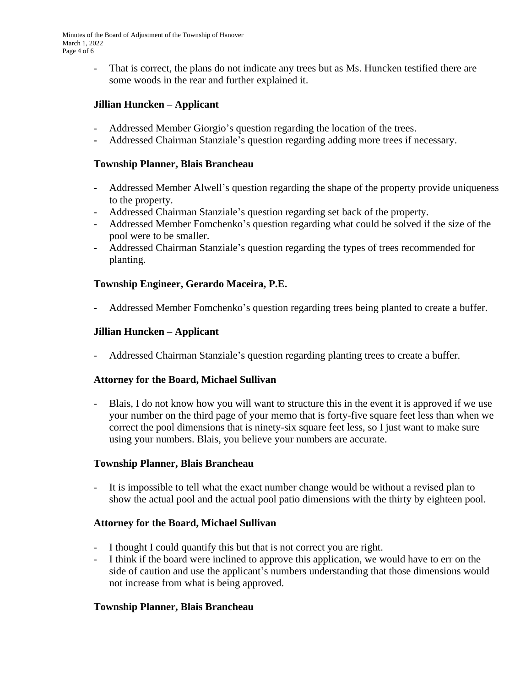- That is correct, the plans do not indicate any trees but as Ms. Huncken testified there are some woods in the rear and further explained it.

# **Jillian Huncken – Applicant**

- Addressed Member Giorgio's question regarding the location of the trees.
- **-** Addressed Chairman Stanziale's question regarding adding more trees if necessary.

### **Township Planner, Blais Brancheau**

- **-** Addressed Member Alwell's question regarding the shape of the property provide uniqueness to the property.
- Addressed Chairman Stanziale's question regarding set back of the property.
- Addressed Member Fomchenko's question regarding what could be solved if the size of the pool were to be smaller.
- Addressed Chairman Stanziale's question regarding the types of trees recommended for planting.

# **Township Engineer, Gerardo Maceira, P.E.**

- Addressed Member Fomchenko's question regarding trees being planted to create a buffer.

## **Jillian Huncken – Applicant**

- Addressed Chairman Stanziale's question regarding planting trees to create a buffer.

## **Attorney for the Board, Michael Sullivan**

- Blais, I do not know how you will want to structure this in the event it is approved if we use your number on the third page of your memo that is forty-five square feet less than when we correct the pool dimensions that is ninety-six square feet less, so I just want to make sure using your numbers. Blais, you believe your numbers are accurate.

## **Township Planner, Blais Brancheau**

- It is impossible to tell what the exact number change would be without a revised plan to show the actual pool and the actual pool patio dimensions with the thirty by eighteen pool.

## **Attorney for the Board, Michael Sullivan**

- I thought I could quantify this but that is not correct you are right.
- I think if the board were inclined to approve this application, we would have to err on the side of caution and use the applicant's numbers understanding that those dimensions would not increase from what is being approved.

## **Township Planner, Blais Brancheau**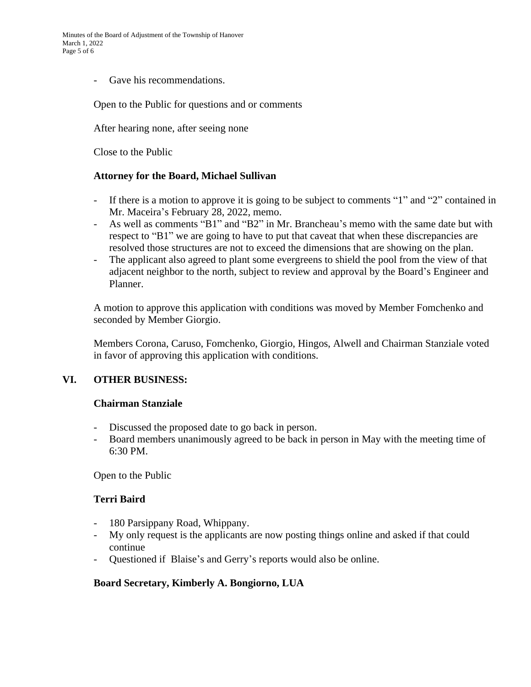Gave his recommendations.

#### Open to the Public for questions and or comments

After hearing none, after seeing none

Close to the Public

#### **Attorney for the Board, Michael Sullivan**

- If there is a motion to approve it is going to be subject to comments "1" and "2" contained in Mr. Maceira's February 28, 2022, memo.
- As well as comments "B1" and "B2" in Mr. Brancheau's memo with the same date but with respect to "B1" we are going to have to put that caveat that when these discrepancies are resolved those structures are not to exceed the dimensions that are showing on the plan.
- The applicant also agreed to plant some evergreens to shield the pool from the view of that adjacent neighbor to the north, subject to review and approval by the Board's Engineer and Planner.

A motion to approve this application with conditions was moved by Member Fomchenko and seconded by Member Giorgio.

Members Corona, Caruso, Fomchenko, Giorgio, Hingos, Alwell and Chairman Stanziale voted in favor of approving this application with conditions.

### **VI. OTHER BUSINESS:**

#### **Chairman Stanziale**

- Discussed the proposed date to go back in person.
- Board members unanimously agreed to be back in person in May with the meeting time of 6:30 PM.

Open to the Public

### **Terri Baird**

- 180 Parsippany Road, Whippany.
- My only request is the applicants are now posting things online and asked if that could continue
- Questioned if Blaise's and Gerry's reports would also be online.

### **Board Secretary, Kimberly A. Bongiorno, LUA**